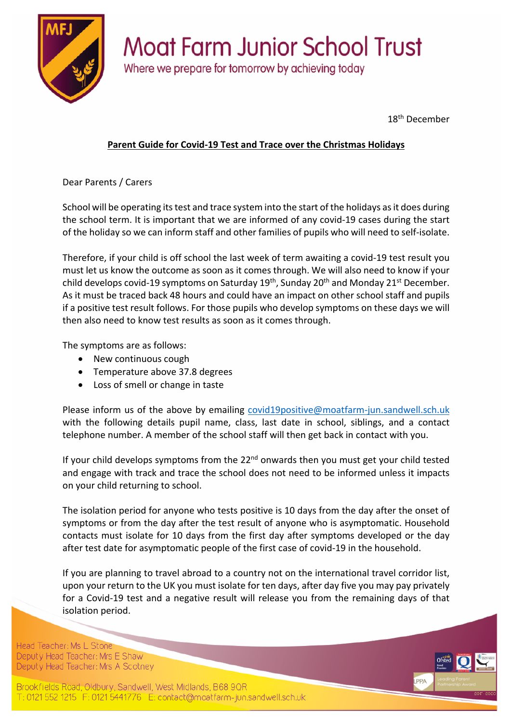

## **Moat Farm Junior School Trust**

Where we prepare for tomorrow by achieving today

18<sup>th</sup> December

## **Parent Guide for Covid-19 Test and Trace over the Christmas Holidays**

Dear Parents / Carers

School will be operating its test and trace system into the start of the holidays as it does during the school term. It is important that we are informed of any covid-19 cases during the start of the holiday so we can inform staff and other families of pupils who will need to self-isolate.

Therefore, if your child is off school the last week of term awaiting a covid-19 test result you must let us know the outcome as soon as it comes through. We will also need to know if your child develops covid-19 symptoms on Saturday  $19<sup>th</sup>$ , Sunday  $20<sup>th</sup>$  and Monday  $21<sup>st</sup>$  December. As it must be traced back 48 hours and could have an impact on other school staff and pupils if a positive test result follows. For those pupils who develop symptoms on these days we will then also need to know test results as soon as it comes through.

The symptoms are as follows:

- New continuous cough
- Temperature above 37.8 degrees
- Loss of smell or change in taste

Please inform us of the above by emailing covid19positive@moatfarm-jun.sandwell.sch.uk with the following details pupil name, class, last date in school, siblings, and a contact telephone number. A member of the school staff will then get back in contact with you.

If your child develops symptoms from the  $22<sup>nd</sup>$  onwards then you must get your child tested and engage with track and trace the school does not need to be informed unless it impacts on your child returning to school.

The isolation period for anyone who tests positive is 10 days from the day after the onset of symptoms or from the day after the test result of anyone who is asymptomatic. Household contacts must isolate for 10 days from the first day after symptoms developed or the day after test date for asymptomatic people of the first case of covid-19 in the household.

If you are planning to travel abroad to a country not on the international travel corridor list, upon your return to the UK you must isolate for ten days, after day five you may pay privately for a Covid-19 test and a negative result will release you from the remaining days of that isolation period.

Head Teacher: Ms L Stone Deputy Head Teacher: Mrs E Shaw Deputy Head Teacher: Mrs A Scotney

Brookfields Road, Oldbury, Sandwell, West Midlands, B68 9QR T: 0121 552 1215 F: 0121 5441776 E: contact@moatfarm-jun.sandwell.sch.uk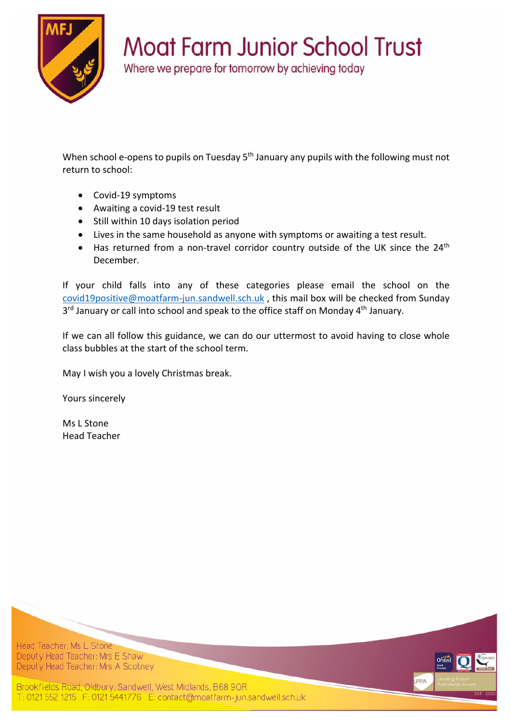

## **Moat Farm Junior School Trust**

Where we prepare for tomorrow by achieving today

When school e-opens to pupils on Tuesday 5<sup>th</sup> January any pupils with the following must not return to school:

- Covid-19 symptoms
- Awaiting a covid-19 test result
- Still within 10 days isolation period
- Lives in the same household as anyone with symptoms or awaiting a test result.
- Has returned from a non-travel corridor country outside of the UK since the 24<sup>th</sup> December.

If your child falls into any of these categories please email the school on the covid19positive@moatfarm-jun.sandwell.sch.uk , this mail box will be checked from Sunday 3<sup>rd</sup> January or call into school and speak to the office staff on Monday 4<sup>th</sup> January.

If we can all follow this guidance, we can do our uttermost to avoid having to close whole class bubbles at the start of the school term.

May I wish you a lovely Christmas break.

Yours sincerely

Ms L Stone Head Teacher

Head Teacher: Ms L Stone Deputy Head Teacher: Mrs E Shaw Deputy Head Teacher: Mrs A Scotney



Brookfields Road, Oldbury, Sandwell, West Midlands, B68 9QR T: 0121 552 1215 F: 0121 5441776 E: contact@moatfarm-jun.sandwell.sch.uk